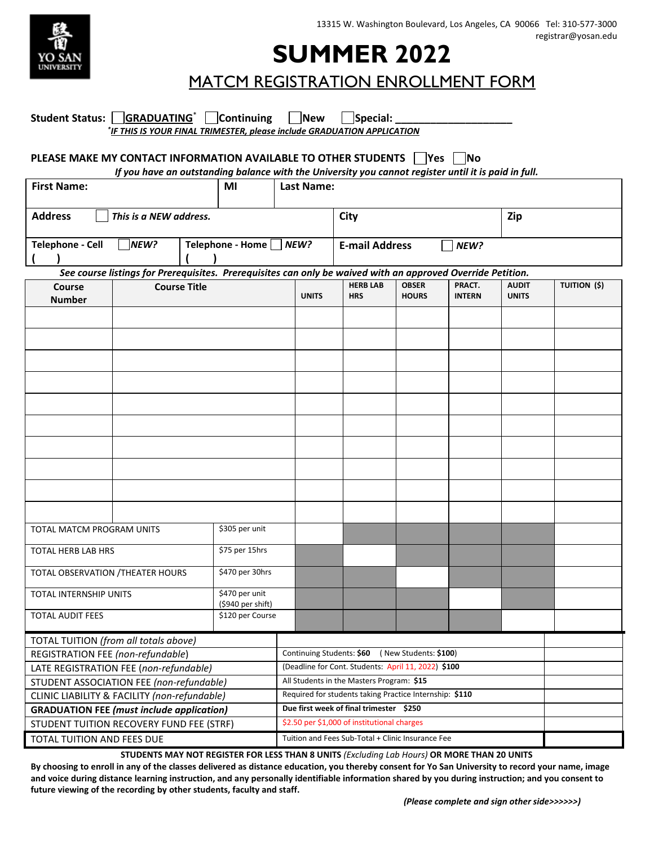Student Status: **GRADUATING<sup>\*</sup>** Continuing New Special: *\*IF THIS IS YOUR FINAL TRIMESTER, please include GRADUATION APPLICATION* **PLEASE MAKE MY CONTACT INFORMATION AVAILABLE TO OTHER STUDENTS President** *If you have an outstanding balance with the University you cannot register until it is paid in full.* **First Name: MI Last Name:** Address *This is a NEW address.* **<b>City Zip Telephone - Cell** *NEW?* **( ) Telephone - Home** *NEW?*  **( ) E-mail Address** *NEW?* *See course listings for Prerequisites. Prerequisites can only be waived with an approved Override Petition.* **Course Number Course Title UNITS HERB LAB HRS OBSER HOURS PRACT. INTERN AUDIT UNITS TUITION (\$)** TOTAL MATCM PROGRAM UNITS \$305 per unit TOTAL HERB LAB HRS \$75 per 15hrs TOTAL OBSERVATION / THEATER HOURS | \$470 per 30hrs TOTAL INTERNSHIP UNITS | \$470 per unit (\$940 per shift) TOTAL AUDIT FEES \$120 per Course TOTAL TUITION *(from all totals above)* REGISTRATION FEE *(non-refundable*) Continuing Students: **\$60** ( New Students: **\$100**) LATE REGISTRATION FEE (*non-refundable)* (Deadline for Cont. Students: April 11, 2022) **\$100** STUDENT ASSOCIATION FEE *(non-refundable)* All Students in the Masters Program: **\$15** CLINIC LIABILITY & FACILITY *(non-refundable)* Required for students taking Practice Internship: **\$110 GRADUATION FEE (must include application)** Due first week of final trimester \$250 STUDENT TUITION RECOVERY FUND FEE (STRF) \$2.50 per \$1,000 of institutional charges TOTAL TUITION AND FEES DUE Tuition and Fees Sub-Total + Clinic Insurance Fee 13315 W. Washington Boulevard, Los Angeles, CA 90066 Tel: 310-577-3000 registrar@yosan.edu **SUMMER 2022** MATCM REGISTRATION ENROLLMENT FORM

**STUDENTS MAY NOT REGISTER FOR LESS THAN 8 UNITS** *(Excluding Lab Hours)* **OR MORE THAN 20 UNITS**

**By choosing to enroll in any of the classes delivered as distance education, you thereby consent for Yo San University to record your name, image and voice during distance learning instruction, and any personally identifiable information shared by you during instruction; and you consent to future viewing of the recording by other students, faculty and staff.**